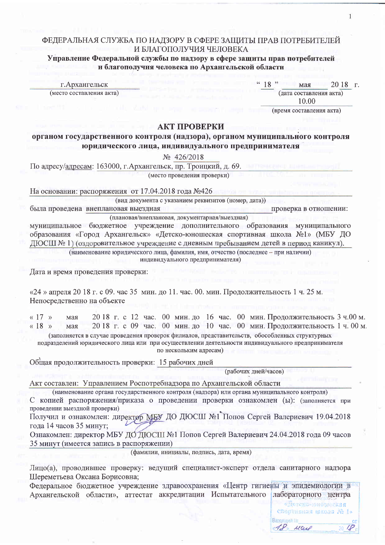### ФЕДЕРАЛЬНАЯ СЛУЖБА ПО НАДЗОРУ В СФЕРЕ ЗАЩИТЫ ПРАВ ПОТРЕБИТЕЛЕЙ И БЛАГОПОЛУЧИЯ ЧЕЛОВЕКА

# Управление Федеральной службы по надзору в сфере защиты прав потребителей и благополучия человека по Архангельской области

г. Архангельск (место составления акта)  $18"$ мая  $2018$   $\Gamma$ . (дата составления акта)

1

10.00 (время составления акта)

# АКТ ПРОВЕРКИ

органом государственного контроля (надзора), органом муниципального контроля юридического лица, индивидуального предпринимателя

No 426/2018

По адресу/адресам: 163000, г. Архангельск, пр. Троицкий, д. 69. (место проведения проверки)

На основании: распоряжения от 17.04.2018 года №426

(вид документа с указанием реквизитов (номер, дата))

была проведена внеплановая выездная проверка в отношении: (плановая/внеплановая, документарная/выездная)

муниципальное бюджетное учреждение дополнительного образования муниципального образования «Город Архангельск» «Детско-юношеская спортивная школа №1» (МБУ ДО ДЮСШ № 1) (оздоровительное учреждение с дневным пребыванием детей в период каникул).

> (наименование юридического лица, фамилия, имя, отчество (последнее - при наличии) индивидуального предпринимателя)

Дата и время проведения проверки:

 $\alpha$ 24 » апреля 2018 г. с 09. час 35 мин. до 11. час. 00. мин. Продолжительность 1 ч. 25 м. Непосредственно на объекте

 $\ll 17$  » 2018 г. с 12 час. 00 мин. до 16 час. 00 мин. Продолжительность 3 ч.00 м. мая 2018 г. с 09 час. 00 мин. до 10 час. 00 мин. Продолжительность 1 ч. 00 м.  $\kappa$  18  $\mu$ мая

(заполняется в случае проведения проверок филиалов, представительств, обособленных структурных подразделений юридического лица или при осуществлении деятельности индивидуального предпринимателя по нескольким адресам)

Общая продолжительность проверки: 15 рабочих дней

(рабочих дней/часов)

Акт составлен: Управлением Роспотребнадзора по Архангельской области

(наименование органа государственного контроля (надзора) или органа муниципального контроля) С копией распоряжения/приказа о проведении проверки ознакомлен (ы): (заполняется при проведении выездной проверки)

Получил и ознакомлен: директор МБУ ДО ДЮСШ №1 Попов Сергей Валериевич 19.04.2018 года 14 часов 35 минут;

Ознакомлен: директор МБУ ДО ДЮСШ №1 Попов Сергей Валериевич 24.04.2018 года 09 часов 35 минут (имеется запись в распоряжении)

(фамилии, инициалы, подпись, дата, время)

Лицо(а), проводившее проверку: ведущий специалист-эксперт отдела санитарного надзора Шереметьева Оксана Борисовна;

Федеральное бюджетное учреждение здравоохранения «Центр гигиены и эпидемиологии в Архангельской области», аттестат аккредитации Испытательного лабораторного центра

> ско-конашеская спортивная школа № 1» Bxongiaudi Ni 18 Mail

on.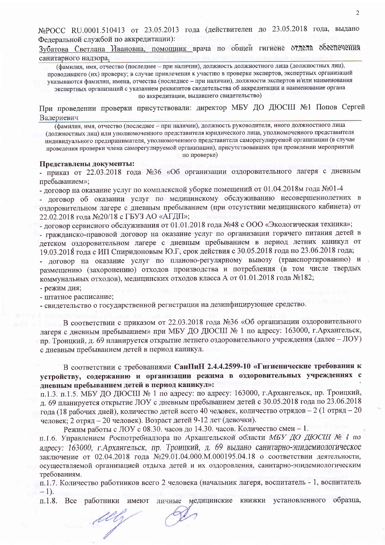№РОСС RU.0001.510413 от 23.05.2013 года (действителен до 23.05.2018 года, выдано Федеральной службой по аккредитации):

Зубатова Светлана Ивановна, помощник врача по общей гигиене отдела обеспечения санитарного надзора.

(фамилия, имя, отчество (последнее - при наличии), должность должностного лица (должностных лиц), проводившего (их) проверку; в случае привлечения к участию в проверке экспертов, экспертных организаций указываются фамилии, имена, отчества (последнее - при наличии), должности экспертов и/или наименования экспертных организаций с указанием реквизитов свидетельства об аккредитации и наименование органа по аккредитации, выдавшего свидетельство)

При проведении проверки присутствовали: директор МБУ ДО ДЮСШ №1 Попов Сергей Валериевич

(фамилия, имя, отчество (последнее - при наличии), должность руководителя, иного должностного лица (должностных лиц) или уполномоченного представителя юридического лица, уполномоченного представителя индивидуального предпринимателя, уполномоченного представителя саморегулируемой организации (в случае проведения проверки члена саморегулируемой организации), присутствовавших при проведении мероприятий по проверке)

#### Представлены документы:

- приказ от 22.03.2018 года №36 «Об организации оздоровительного лагеря с дневным пребыванием»:

- договор на оказание услуг по комплексной уборке помещений от 01.04.2018м года  $N_2$ 01-4

- договор об оказании услуг по медицинскому обслуживанию несовершеннолетних в оздоровительном лагере с дневным пребыванием (при отсутствии медицинского кабинета) от 22.02.2018 года №20/18 с ГБУЗ АО «АГДП»;

- договор сервисного обслуживания от 01.01.2018 года №48 с ООО «Экологическая техника»;

- гражданско-правовой договор на оказание услуг по организации горячего питания детей в детском оздоровительном лагере с дневным пребыванием в период летних каникул от 19.03.2018 года с ИП Спиридоновым Ю.Г, срок действия с 30.05.2018 года по 23.06.2018 года;

- договор на оказание услуг по планово-регулярному вывозу (транспортированию) и размещению (захоронению) отходов производства и потребления (в том числе твердых коммунальных отходов), медицинских отходов класса А от 01.01.2018 года №182;

- режим дня;

- штатное расписание;

MG

- свидетельство о государственной регистрации на дезинфицирующее средство.

В соответствии с приказом от 22.03.2018 года №36 «Об организации оздоровительного лагеря с дневным пребыванием» при МБУ ДО ДЮСШ № 1 по адресу: 163000, г. Архангельск, пр. Троицкий, д. 69 планируется открытие летнего оздоровительного учреждения (далее - ЛОУ) с дневным пребыванием детей в период каникул.

В соответствии с требованиями СанПиН 2.4.4.2599-10 «Гигиенические требования к устройству, содержанию и организации режима в оздоровительных учреждениях с дневным пребыванием детей в период каникул»:

п.1.3. п.1.5. МБУ ДО ДЮСШ № 1 по адресу: по адресу: 163000, г. Архангельск, пр. Троицкий, д. 69 планируется открытие ЛОУ с дневным пребыванием детей с 30.05.2018 года по 23.06.2018 года (18 рабочих дней), количество детей всего 40 человек, количество отрядов - 2 (1 отряд - 20 человек; 2 отряд - 20 человек). Возраст детей 9-12 лет (девочки).

Режим работы с ЛОУ с 08.30. часов до 14.30. часов. Количество смен - 1.

п. 1.6. Управлением Роспотребнадзора по Архангельской области МБУ ДО ДЮСШ № 1 по адресу: 163000, г. Архангельск, пр. Троицкий, д. 69 выдано санитарно-эпидемиологическое заключение от 02.04.2018 года №29.01.04.000.М.000195.04.18 о соответствии деятельности, осуществляемой организацией отдыха детей и их оздоровления, санитарно-эпидемиологическим требованиям.

п.1.7. Количество работников всего 2 человека (начальник лагеря, воспитатель - 1, воспитатель  $-1$ ).

Все работники имеют личные медицинские книжки установленного образца,  $\pi$ . 1.8.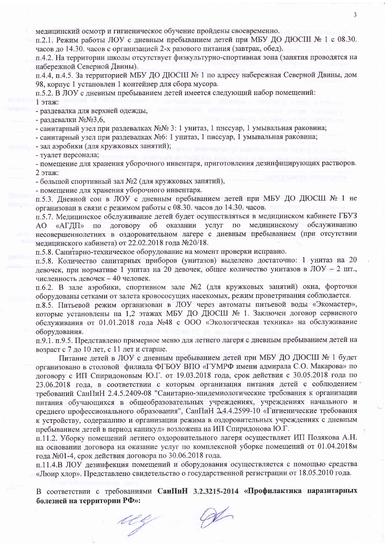медицинский осмотр и гигиеническое обучение пройдены своевременно.

п.2.1. Режим работы ЛОУ с лневным пребыванием детей при МБУ ДО ДЮСШ № 1 с 08.30. часов до 14.30, часов с организацией 2-х разового питания (завтрак, обед).

п.4.2. На территории школы отсутствует физкультурно-спортивная зона (занятия проводятся на набережной Северной Двины).

п.4.4, п.4.5. За территорией МБУ ДО ДЮСШ № 1 по адресу набережная Северной Двины, дом 98, корпус 1 установлен 1 контейнер для сбора мусора.

п.5.2. В ЛОУ с лневным пребыванием детей имеется следующий набор помещений:

1 этаж:

- разлевалка лля верхней одежды.

- раздевалки №№3.6.

- санитарный узел при раздевалках №№ 3: 1 унитаз, 1 писсуар, 1 умывальная раковина;

- санитарный узел при раздевалках №6: 1 унитаз, 1 писсуар, 1 умывальная раковина;

- зал аэробики (для кружковых занятий);

- туалет персонала;

- помешение для хранения уборочного инвентаря, приготовления дезинфицирующих растворов. 2 этаж:

- большой спортивный зал №2 (для кружковых занятий),

- помещение для хранения уборочного инвентаря.

п.5.3. Дневной сон в ЛОУ с дневным пребыванием детей при МБУ ДО ДЮСШ № 1 не организован в связи с режимом работы с 08.30. часов до 14.30. часов.

п.5.7. Медицинское обслуживание детей будет осуществляться в медицинском кабинете ГБУЗ «АГДП» по договору об оказании услуг по медицинскому обслуживанию  $AO$ несовершеннолетних в оздоровительном лагере с дневным пребыванием (при отсутствии медицинского кабинета) от 22.02.2018 года №20/18.

п.5.8. Санитарно-техническое оборудование на момент проверки исправно.

п.5.8. Количество санитарных приборов (унитазов) выделено достаточно: 1 унитаз на 20 девочек, при нормативе 1 унитаз на 20 девочек, общее количество унитазов в ЛОУ - 2 шт., численность девочек - 40 человек.

п.6.2. В зале аэробики, спортивном зале №2 (для кружковых занятий) окна, форточки оборудованы сетками от залета кровососущих насекомых, режим проветривания соблюдается.

п.8.5. Питьевой режим организован в ЛОУ через автоматы питьевой воды «Экомастер», которые установлены на 1,2 этажах МБУ ДО ДЮСШ № 1. Заключен договор сервисного обслуживания от 01.01.2018 года №48 с ООО «Экологическая техника» на обслуживание оборудования.

п.9.1. п.9.5. Представлено примерное меню для летнего лагеря с дневным пребыванием детей на возраст с 7 до 10 лет, с 11 лет и старше.

Питание детей в ЛОУ с дневным пребыванием детей при МБУ ДО ДЮСШ № 1 будет организовано в столовой филиала ФГБОУ ВПО «ГУМРФ имени адмирала С.О. Макарова» по договору с ИП Спиридоновым Ю.Г. от 19.03.2018 года, срок действия с 30.05.2018 года по 23.06.2018 года, в соответствии с которым организация питания детей с соблюдением требований СанПиН 2.4.5.2409-08 "Санитарно-эпидемиологические требования к организации питания обучающихся в общеобразовательных учреждениях, учреждениях начального и среднего профессионального образования", СанПиН 2.4.4.2599-10 «Гигиенические требования к устройству, содержанию и организации режима в оздоровительных учреждениях с дневным пребыванием детей в период каникул» возложена на ИП Спиридонова Ю.Г.

п.11.2. Уборку помещений летнего оздоровительного лагеря осуществляет ИП Полякова А.Н. на основании договора на оказание услуг по комплексной уборке помещений от 01.04.2018м года №01-4, срок действия договора по 30.06.2018 года.

п.11.4.В ЛОУ дезинфекция помещений и оборудования осуществляется с помощью средства «Люир хлор». Представлено свидетельство о государственной регистрации от 18.05.2010 года.

В соответствии с требованиями СанПиН 3.2.3215-2014 «Профилактика паразитарных болезней на территории РФ»:

 $\varphi$ ug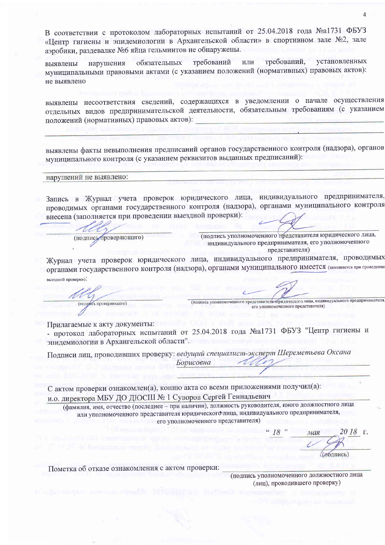В соответствии с протоколом лабораторных испытаний от 25.04.2018 года №а1731 ФБУЗ «Центр гигиены и эпидемиологии в Архангельской области» в спортивном зале №2, зале аэробики, раздевалке №6 яйца гельминтов не обнаружены.

установленных требований. требований или обязательных нарушения выявлены муниципальными правовыми актами (с указанием положений (нормативных) правовых актов): не выявлено

выявлены несоответствия сведений, содержащихся в уведомлении о начале осуществления отдельных видов предпринимательской деятельности, обязательным требованиям (с указанием положений (нормативных) правовых актов):

выявлены факты невыполнения предписаний органов государственного контроля (надзора), органов муниципального контроля (с указанием реквизитов выданных предписаний):

нарушений не выявлено:

Запись в Журнал учета проверок юридического лица, индивидуального предпринимателя, проводимых органами государственного контроля (надзора), органами муниципального контроля внесена (заполняется при проведении выездной проверки):

(подпись проверяющего)

(подпись уполномоченного представителя юридического лица, индивидуального предпринимателя, его уполномоченного представителя)

(подпись уполномоченного представителя бридического лица, индивидуального предпринимателя

его уполномоченного представителя)

Журнал учета проверок юридического лица, индивидуального предпринимателя, проводимых органами государственного контроля (надзора), органами муниципального имеется (заполняется при проведении выездной проверки):

Прилагаемые к акту документы:

(подпись проверяющего)

- протокол лабораторных испытаний от 25.04.2018 года №а1731 ФБУЗ "Центр гигиены и эпидемиологии в Архангельской области".

Подписи лиц, проводивших проверку: ведущий специалист-эксперт Шереметьева Оксана Борисовна

С актом проверки ознакомлен(а), копию акта со всеми приложениями получил(а): и.о. директора МБУ ДО ДЮСШ № 1 Суворов Сергей Геннадьевич

(фамилия, имя, отчество (последнее - при наличии), должность руководителя, иного должностного лица или уполномоченного представителя юридического лица, индивидуального предпринимателя, его уполномоченного представителя)

 $20\;18$  T. 18 " мая (иодпись)

Пометка об отказе ознакомления с актом проверки:

(подпись уполномоченного должностного лица (лиц), проводившего проверку)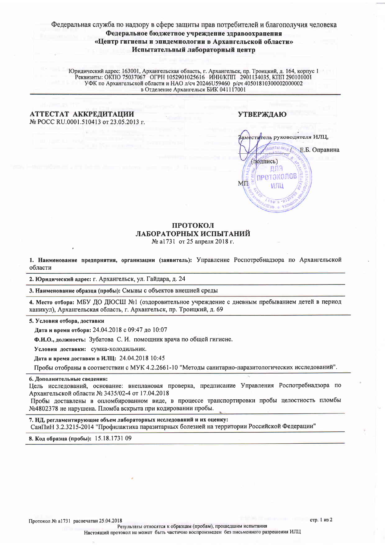# Федеральная служба по надзору в сфере защиты прав потребителей и благополучия человека Федеральное бюджетное учреждение здравоохранения «Центр гигиены и эпидемиологии в Архангельской области» Испытательный лабораторный центр

Юридический адрес: 163001, Архангельская область, г. Архангельск, пр. Троицкий, д. 164, корпус 1 Реквизиты: ОКПО 75037067 ОГРН 1052901025616 ИНН/КПП 2901134035, КПП 290101001 УФК по Архангельской области и НАО л/сч 20246U в Отделение Архангельск БИК 041117001

#### АТТЕСТАТ АККРЕДИТАЦИИ № POCC RU.0001.510413 от 23.05.2013 г.

### **УТВЕРЖДАЮ**



#### ПРОТОКОЛ ЛАБОРАТОРНЫХ ИСПЫТАНИЙ № а1731 от 25 апреля 2018 г.

1. Наименование предприятия, организации (заявитель): Управление Роспотребнадзора по Архангельской области

2. Юридический адрес: г. Архангельск, ул. Гайдара, д. 24

3. Наименование образца (пробы): Смывы с объектов внешней среды

4. Место отбора: МБУ ДО ДЮСШ №1 (оздоровительное учреждение с дневным пребыванием детей в период каникул), Архангельская область, г. Архангельск, пр. Троицкий, д. 69

5. Условия отбора, доставки

Дата и время отбора: 24.04.2018 с 09:47 до 10:07

Ф.И.О., должность: Зубатова С. И. помощник врача по общей гигиене.

Условия доставки: сумка-холодильник.

Дата и время доставки в ИЛЦ: 24.04.2018 10:45

Пробы отобраны в соответствии с МУК 4.2.2661-10 "Методы санитарно-паразитологических исследований".

#### 6. Дополнительные сведения:

Цель исследований, основание: внеплановая проверка, предписание Управления Роспотребнадзора по Архангельской области № 3435/02-4 от 17.04.2018

Пробы доставлены в опломбированном виде, в процессе транспортировки пробы целостность пломбы №4802378 не нарушена. Пломба вскрыта при кодировании пробы.

7. НД, регламентирующие объем лабораторных исследований и их оценку:

СанПиН 3.2.3215-2014 "Профилактика паразитарных болезней на территории Российской Федерации"

8. Код образца (пробы): 15.18.1731 09